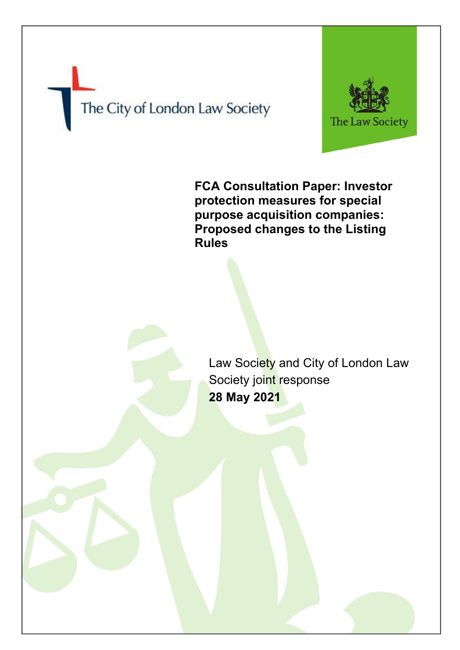The City of London Law Society



**FCA Consultation Paper: Investor protection measures for special purpose acquisition companies: Proposed changes to the Listing Rules**

Law Society and City of London Law Society joint response **28 May 2021**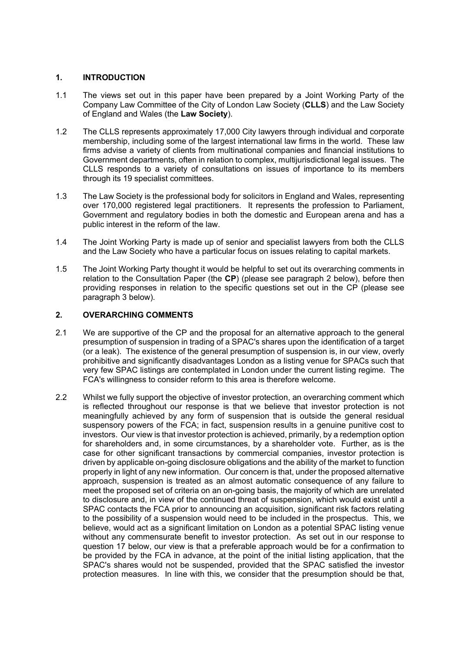#### **1. INTRODUCTION**

- 1.1 The views set out in this paper have been prepared by a Joint Working Party of the Company Law Committee of the City of London Law Society (**CLLS**) and the Law Society of England and Wales (the **Law Society**).
- 1.2 The CLLS represents approximately 17,000 City lawyers through individual and corporate membership, including some of the largest international law firms in the world. These law firms advise a variety of clients from multinational companies and financial institutions to Government departments, often in relation to complex, multijurisdictional legal issues. The CLLS responds to a variety of consultations on issues of importance to its members through its 19 specialist committees.
- 1.3 The Law Society is the professional body for solicitors in England and Wales, representing over 170,000 registered legal practitioners. It represents the profession to Parliament, Government and regulatory bodies in both the domestic and European arena and has a public interest in the reform of the law.
- 1.4 The Joint Working Party is made up of senior and specialist lawyers from both the CLLS and the Law Society who have a particular focus on issues relating to capital markets.
- 1.5 The Joint Working Party thought it would be helpful to set out its overarching comments in relation to the Consultation Paper (the **CP**) (please see paragraph 2 below), before then providing responses in relation to the specific questions set out in the CP (please see paragraph 3 below).

#### **2. OVERARCHING COMMENTS**

- 2.1 We are supportive of the CP and the proposal for an alternative approach to the general presumption of suspension in trading of a SPAC's shares upon the identification of a target (or a leak). The existence of the general presumption of suspension is, in our view, overly prohibitive and significantly disadvantages London as a listing venue for SPACs such that very few SPAC listings are contemplated in London under the current listing regime. The FCA's willingness to consider reform to this area is therefore welcome.
- 2.2 Whilst we fully support the objective of investor protection, an overarching comment which is reflected throughout our response is that we believe that investor protection is not meaningfully achieved by any form of suspension that is outside the general residual suspensory powers of the FCA; in fact, suspension results in a genuine punitive cost to investors. Our view is that investor protection is achieved, primarily, by a redemption option for shareholders and, in some circumstances, by a shareholder vote. Further, as is the case for other significant transactions by commercial companies, investor protection is driven by applicable on-going disclosure obligations and the ability of the market to function properly in light of any new information. Our concern is that, under the proposed alternative approach, suspension is treated as an almost automatic consequence of any failure to meet the proposed set of criteria on an on-going basis, the majority of which are unrelated to disclosure and, in view of the continued threat of suspension, which would exist until a SPAC contacts the FCA prior to announcing an acquisition, significant risk factors relating to the possibility of a suspension would need to be included in the prospectus. This, we believe, would act as a significant limitation on London as a potential SPAC listing venue without any commensurate benefit to investor protection. As set out in our response to question 17 below, our view is that a preferable approach would be for a confirmation to be provided by the FCA in advance, at the point of the initial listing application, that the SPAC's shares would not be suspended, provided that the SPAC satisfied the investor protection measures. In line with this, we consider that the presumption should be that,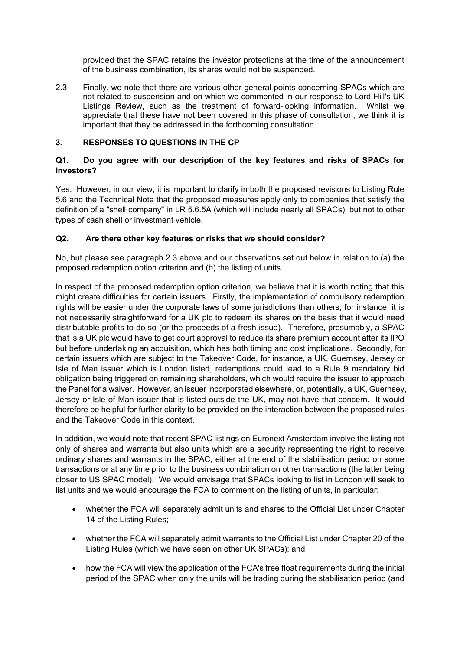provided that the SPAC retains the investor protections at the time of the announcement of the business combination, its shares would not be suspended.

2.3 Finally, we note that there are various other general points concerning SPACs which are not related to suspension and on which we commented in our response to Lord Hill's UK Listings Review, such as the treatment of forward-looking information. Whilst we appreciate that these have not been covered in this phase of consultation, we think it is important that they be addressed in the forthcoming consultation.

# **3. RESPONSES TO QUESTIONS IN THE CP**

# **Q1. Do you agree with our description of the key features and risks of SPACs for investors?**

Yes. However, in our view, it is important to clarify in both the proposed revisions to Listing Rule 5.6 and the Technical Note that the proposed measures apply only to companies that satisfy the definition of a "shell company" in LR 5.6.5A (which will include nearly all SPACs), but not to other types of cash shell or investment vehicle.

# **Q2. Are there other key features or risks that we should consider?**

No, but please see paragraph 2.3 above and our observations set out below in relation to (a) the proposed redemption option criterion and (b) the listing of units.

In respect of the proposed redemption option criterion, we believe that it is worth noting that this might create difficulties for certain issuers. Firstly, the implementation of compulsory redemption rights will be easier under the corporate laws of some jurisdictions than others; for instance, it is not necessarily straightforward for a UK plc to redeem its shares on the basis that it would need distributable profits to do so (or the proceeds of a fresh issue). Therefore, presumably, a SPAC that is a UK plc would have to get court approval to reduce its share premium account after its IPO but before undertaking an acquisition, which has both timing and cost implications. Secondly, for certain issuers which are subject to the Takeover Code, for instance, a UK, Guernsey, Jersey or Isle of Man issuer which is London listed, redemptions could lead to a Rule 9 mandatory bid obligation being triggered on remaining shareholders, which would require the issuer to approach the Panel for a waiver. However, an issuer incorporated elsewhere, or, potentially, a UK, Guernsey, Jersey or Isle of Man issuer that is listed outside the UK, may not have that concern. It would therefore be helpful for further clarity to be provided on the interaction between the proposed rules and the Takeover Code in this context.

In addition, we would note that recent SPAC listings on Euronext Amsterdam involve the listing not only of shares and warrants but also units which are a security representing the right to receive ordinary shares and warrants in the SPAC, either at the end of the stabilisation period on some transactions or at any time prior to the business combination on other transactions (the latter being closer to US SPAC model). We would envisage that SPACs looking to list in London will seek to list units and we would encourage the FCA to comment on the listing of units, in particular:

- whether the FCA will separately admit units and shares to the Official List under Chapter 14 of the Listing Rules;
- whether the FCA will separately admit warrants to the Official List under Chapter 20 of the Listing Rules (which we have seen on other UK SPACs); and
- how the FCA will view the application of the FCA's free float requirements during the initial period of the SPAC when only the units will be trading during the stabilisation period (and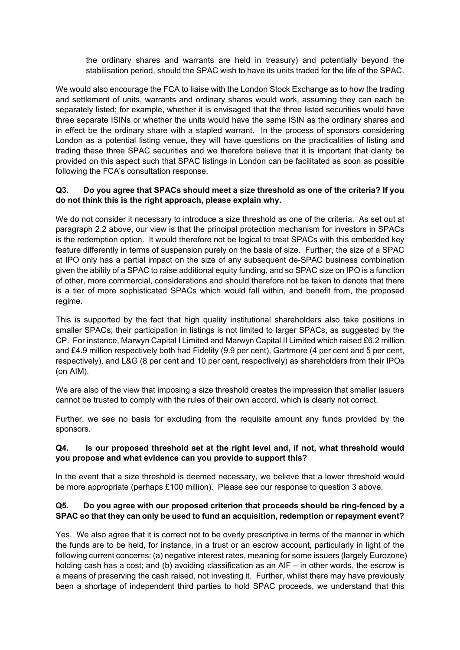the ordinary shares and warrants are held in treasury) and potentially beyond the stabilisation period, should the SPAC wish to have its units traded for the life of the SPAC.

We would also encourage the FCA to liaise with the London Stock Exchange as to how the trading and settlement of units, warrants and ordinary shares would work, assuming they can each be separately listed; for example, whether it is envisaged that the three listed securities would have three separate ISINs or whether the units would have the same ISIN as the ordinary shares and in effect be the ordinary share with a stapled warrant. In the process of sponsors considering London as a potential listing venue, they will have questions on the practicalities of listing and trading these three SPAC securities and we therefore believe that it is important that clarity be provided on this aspect such that SPAC listings in London can be facilitated as soon as possible following the FCA's consultation response.

# **Q3. Do you agree that SPACs should meet a size threshold as one of the criteria? If you do not think this is the right approach, please explain why.**

We do not consider it necessary to introduce a size threshold as one of the criteria. As set out at paragraph 2.2 above, our view is that the principal protection mechanism for investors in SPACs is the redemption option. It would therefore not be logical to treat SPACs with this embedded key feature differently in terms of suspension purely on the basis of size. Further, the size of a SPAC at IPO only has a partial impact on the size of any subsequent de-SPAC business combination given the ability of a SPAC to raise additional equity funding, and so SPAC size on IPO is a function of other, more commercial, considerations and should therefore not be taken to denote that there is a tier of more sophisticated SPACs which would fall within, and benefit from, the proposed regime.

This is supported by the fact that high quality institutional shareholders also take positions in smaller SPACs; their participation in listings is not limited to larger SPACs, as suggested by the CP. For instance, Marwyn Capital I Limited and Marwyn Capital II Limited which raised £6.2 million and £4.9 million respectively both had Fidelity (9.9 per cent), Gartmore (4 per cent and 5 per cent, respectively), and L&G (8 per cent and 10 per cent, respectively) as shareholders from their IPOs (on AIM).

We are also of the view that imposing a size threshold creates the impression that smaller issuers cannot be trusted to comply with the rules of their own accord, which is clearly not correct.

Further, we see no basis for excluding from the requisite amount any funds provided by the sponsors.

#### **Q4. Is our proposed threshold set at the right level and, if not, what threshold would you propose and what evidence can you provide to support this?**

In the event that a size threshold is deemed necessary, we believe that a lower threshold would be more appropriate (perhaps £100 million). Please see our response to question 3 above.

# **Q5. Do you agree with our proposed criterion that proceeds should be ring-fenced by a SPAC so that they can only be used to fund an acquisition, redemption or repayment event?**

Yes. We also agree that it is correct not to be overly prescriptive in terms of the manner in which the funds are to be held, for instance, in a trust or an escrow account, particularly in light of the following current concerns: (a) negative interest rates, meaning for some issuers (largely Eurozone) holding cash has a cost; and (b) avoiding classification as an AIF – in other words, the escrow is a means of preserving the cash raised, not investing it. Further, whilst there may have previously been a shortage of independent third parties to hold SPAC proceeds, we understand that this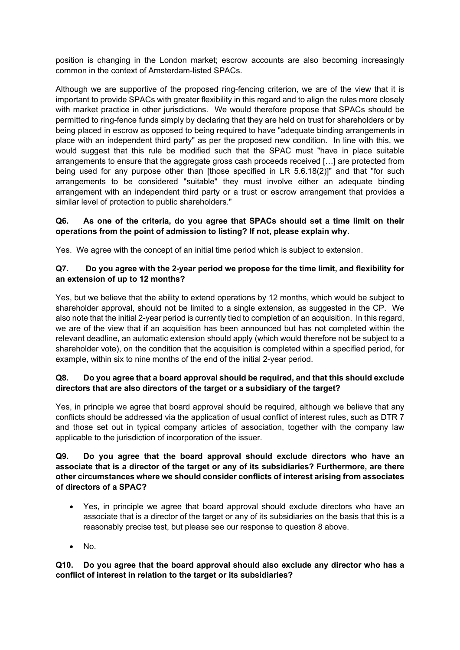position is changing in the London market; escrow accounts are also becoming increasingly common in the context of Amsterdam-listed SPACs.

Although we are supportive of the proposed ring-fencing criterion, we are of the view that it is important to provide SPACs with greater flexibility in this regard and to align the rules more closely with market practice in other jurisdictions. We would therefore propose that SPACs should be permitted to ring-fence funds simply by declaring that they are held on trust for shareholders or by being placed in escrow as opposed to being required to have "adequate binding arrangements in place with an independent third party" as per the proposed new condition. In line with this, we would suggest that this rule be modified such that the SPAC must "have in place suitable arrangements to ensure that the aggregate gross cash proceeds received […] are protected from being used for any purpose other than [those specified in LR 5.6.18(2)]" and that "for such arrangements to be considered "suitable" they must involve either an adequate binding arrangement with an independent third party or a trust or escrow arrangement that provides a similar level of protection to public shareholders."

# **Q6. As one of the criteria, do you agree that SPACs should set a time limit on their operations from the point of admission to listing? If not, please explain why.**

Yes. We agree with the concept of an initial time period which is subject to extension.

#### **Q7. Do you agree with the 2-year period we propose for the time limit, and flexibility for an extension of up to 12 months?**

Yes, but we believe that the ability to extend operations by 12 months, which would be subject to shareholder approval, should not be limited to a single extension, as suggested in the CP. We also note that the initial 2-year period is currently tied to completion of an acquisition. In this regard, we are of the view that if an acquisition has been announced but has not completed within the relevant deadline, an automatic extension should apply (which would therefore not be subject to a shareholder vote), on the condition that the acquisition is completed within a specified period, for example, within six to nine months of the end of the initial 2-year period.

# **Q8. Do you agree that a board approval should be required, and that this should exclude directors that are also directors of the target or a subsidiary of the target?**

Yes, in principle we agree that board approval should be required, although we believe that any conflicts should be addressed via the application of usual conflict of interest rules, such as DTR 7 and those set out in typical company articles of association, together with the company law applicable to the jurisdiction of incorporation of the issuer.

#### **Q9. Do you agree that the board approval should exclude directors who have an associate that is a director of the target or any of its subsidiaries? Furthermore, are there other circumstances where we should consider conflicts of interest arising from associates of directors of a SPAC?**

- Yes, in principle we agree that board approval should exclude directors who have an associate that is a director of the target or any of its subsidiaries on the basis that this is a reasonably precise test, but please see our response to question 8 above.
- $\bullet$  No.

# **Q10. Do you agree that the board approval should also exclude any director who has a conflict of interest in relation to the target or its subsidiaries?**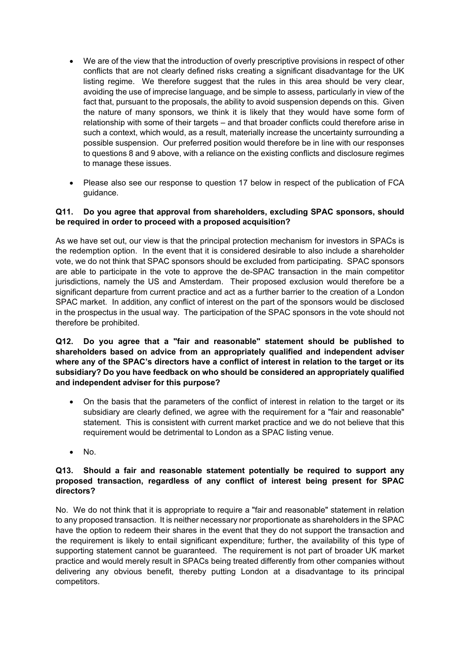- We are of the view that the introduction of overly prescriptive provisions in respect of other conflicts that are not clearly defined risks creating a significant disadvantage for the UK listing regime. We therefore suggest that the rules in this area should be very clear, avoiding the use of imprecise language, and be simple to assess, particularly in view of the fact that, pursuant to the proposals, the ability to avoid suspension depends on this. Given the nature of many sponsors, we think it is likely that they would have some form of relationship with some of their targets – and that broader conflicts could therefore arise in such a context, which would, as a result, materially increase the uncertainty surrounding a possible suspension. Our preferred position would therefore be in line with our responses to questions 8 and 9 above, with a reliance on the existing conflicts and disclosure regimes to manage these issues.
- Please also see our response to question 17 below in respect of the publication of FCA guidance.

#### **Q11. Do you agree that approval from shareholders, excluding SPAC sponsors, should be required in order to proceed with a proposed acquisition?**

As we have set out, our view is that the principal protection mechanism for investors in SPACs is the redemption option. In the event that it is considered desirable to also include a shareholder vote, we do not think that SPAC sponsors should be excluded from participating. SPAC sponsors are able to participate in the vote to approve the de-SPAC transaction in the main competitor jurisdictions, namely the US and Amsterdam. Their proposed exclusion would therefore be a significant departure from current practice and act as a further barrier to the creation of a London SPAC market. In addition, any conflict of interest on the part of the sponsors would be disclosed in the prospectus in the usual way. The participation of the SPAC sponsors in the vote should not therefore be prohibited.

#### **Q12. Do you agree that a "fair and reasonable" statement should be published to shareholders based on advice from an appropriately qualified and independent adviser where any of the SPAC's directors have a conflict of interest in relation to the target or its subsidiary? Do you have feedback on who should be considered an appropriately qualified and independent adviser for this purpose?**

- On the basis that the parameters of the conflict of interest in relation to the target or its subsidiary are clearly defined, we agree with the requirement for a "fair and reasonable" statement. This is consistent with current market practice and we do not believe that this requirement would be detrimental to London as a SPAC listing venue.
- No.

## **Q13. Should a fair and reasonable statement potentially be required to support any proposed transaction, regardless of any conflict of interest being present for SPAC directors?**

No. We do not think that it is appropriate to require a "fair and reasonable" statement in relation to any proposed transaction. It is neither necessary nor proportionate as shareholders in the SPAC have the option to redeem their shares in the event that they do not support the transaction and the requirement is likely to entail significant expenditure; further, the availability of this type of supporting statement cannot be guaranteed. The requirement is not part of broader UK market practice and would merely result in SPACs being treated differently from other companies without delivering any obvious benefit, thereby putting London at a disadvantage to its principal competitors.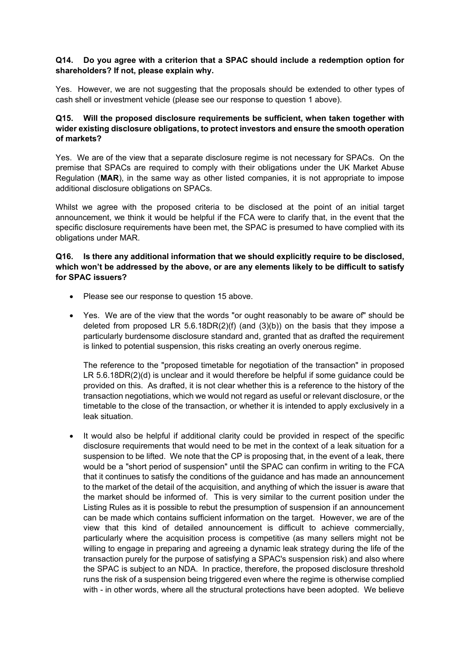# **Q14. Do you agree with a criterion that a SPAC should include a redemption option for shareholders? If not, please explain why.**

Yes. However, we are not suggesting that the proposals should be extended to other types of cash shell or investment vehicle (please see our response to question 1 above).

## **Q15. Will the proposed disclosure requirements be sufficient, when taken together with wider existing disclosure obligations, to protect investors and ensure the smooth operation of markets?**

Yes. We are of the view that a separate disclosure regime is not necessary for SPACs. On the premise that SPACs are required to comply with their obligations under the UK Market Abuse Regulation (**MAR**), in the same way as other listed companies, it is not appropriate to impose additional disclosure obligations on SPACs.

Whilst we agree with the proposed criteria to be disclosed at the point of an initial target announcement, we think it would be helpful if the FCA were to clarify that, in the event that the specific disclosure requirements have been met, the SPAC is presumed to have complied with its obligations under MAR.

#### **Q16. Is there any additional information that we should explicitly require to be disclosed, which won't be addressed by the above, or are any elements likely to be difficult to satisfy for SPAC issuers?**

- Please see our response to question 15 above.
- Yes. We are of the view that the words "or ought reasonably to be aware of" should be deleted from proposed LR 5.6.18DR(2)(f) (and  $(3)(b)$ ) on the basis that they impose a particularly burdensome disclosure standard and, granted that as drafted the requirement is linked to potential suspension, this risks creating an overly onerous regime.

The reference to the "proposed timetable for negotiation of the transaction" in proposed LR 5.6.18DR(2)(d) is unclear and it would therefore be helpful if some guidance could be provided on this. As drafted, it is not clear whether this is a reference to the history of the transaction negotiations, which we would not regard as useful or relevant disclosure, or the timetable to the close of the transaction, or whether it is intended to apply exclusively in a leak situation.

• It would also be helpful if additional clarity could be provided in respect of the specific disclosure requirements that would need to be met in the context of a leak situation for a suspension to be lifted. We note that the CP is proposing that, in the event of a leak, there would be a "short period of suspension" until the SPAC can confirm in writing to the FCA that it continues to satisfy the conditions of the guidance and has made an announcement to the market of the detail of the acquisition, and anything of which the issuer is aware that the market should be informed of. This is very similar to the current position under the Listing Rules as it is possible to rebut the presumption of suspension if an announcement can be made which contains sufficient information on the target. However, we are of the view that this kind of detailed announcement is difficult to achieve commercially, particularly where the acquisition process is competitive (as many sellers might not be willing to engage in preparing and agreeing a dynamic leak strategy during the life of the transaction purely for the purpose of satisfying a SPAC's suspension risk) and also where the SPAC is subject to an NDA. In practice, therefore, the proposed disclosure threshold runs the risk of a suspension being triggered even where the regime is otherwise complied with - in other words, where all the structural protections have been adopted. We believe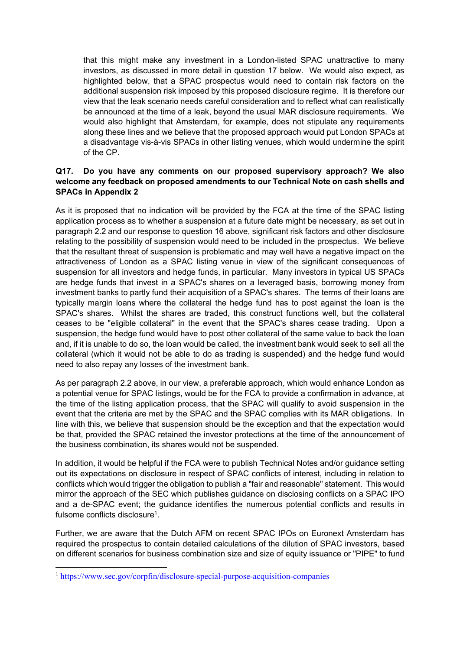that this might make any investment in a London-listed SPAC unattractive to many investors, as discussed in more detail in question 17 below. We would also expect, as highlighted below, that a SPAC prospectus would need to contain risk factors on the additional suspension risk imposed by this proposed disclosure regime. It is therefore our view that the leak scenario needs careful consideration and to reflect what can realistically be announced at the time of a leak, beyond the usual MAR disclosure requirements. We would also highlight that Amsterdam, for example, does not stipulate any requirements along these lines and we believe that the proposed approach would put London SPACs at a disadvantage vis-à-vis SPACs in other listing venues, which would undermine the spirit of the CP.

# **Q17. Do you have any comments on our proposed supervisory approach? We also welcome any feedback on proposed amendments to our Technical Note on cash shells and SPACs in Appendix 2**

As it is proposed that no indication will be provided by the FCA at the time of the SPAC listing application process as to whether a suspension at a future date might be necessary, as set out in paragraph 2.2 and our response to question 16 above, significant risk factors and other disclosure relating to the possibility of suspension would need to be included in the prospectus. We believe that the resultant threat of suspension is problematic and may well have a negative impact on the attractiveness of London as a SPAC listing venue in view of the significant consequences of suspension for all investors and hedge funds, in particular. Many investors in typical US SPACs are hedge funds that invest in a SPAC's shares on a leveraged basis, borrowing money from investment banks to partly fund their acquisition of a SPAC's shares. The terms of their loans are typically margin loans where the collateral the hedge fund has to post against the loan is the SPAC's shares. Whilst the shares are traded, this construct functions well, but the collateral ceases to be "eligible collateral" in the event that the SPAC's shares cease trading. Upon a suspension, the hedge fund would have to post other collateral of the same value to back the loan and, if it is unable to do so, the loan would be called, the investment bank would seek to sell all the collateral (which it would not be able to do as trading is suspended) and the hedge fund would need to also repay any losses of the investment bank.

As per paragraph 2.2 above, in our view, a preferable approach, which would enhance London as a potential venue for SPAC listings, would be for the FCA to provide a confirmation in advance, at the time of the listing application process, that the SPAC will qualify to avoid suspension in the event that the criteria are met by the SPAC and the SPAC complies with its MAR obligations. In line with this, we believe that suspension should be the exception and that the expectation would be that, provided the SPAC retained the investor protections at the time of the announcement of the business combination, its shares would not be suspended.

In addition, it would be helpful if the FCA were to publish Technical Notes and/or guidance setting out its expectations on disclosure in respect of SPAC conflicts of interest, including in relation to conflicts which would trigger the obligation to publish a "fair and reasonable" statement. This would mirror the approach of the SEC which publishes guidance on disclosing conflicts on a SPAC IPO and a de-SPAC event; the guidance identifies the numerous potential conflicts and results in fulsome conflicts disclosure<sup>1</sup>.

Further, we are aware that the Dutch AFM on recent SPAC IPOs on Euronext Amsterdam has required the prospectus to contain detailed calculations of the dilution of SPAC investors, based on different scenarios for business combination size and size of equity issuance or "PIPE" to fund

<sup>1</sup> [https://www.sec.gov/corpfin/disclosure-special-purpose-acquisition-companies](https://protect-eu.mimecast.com/s/geFlCBgNwTyqpgrtzgWHG)